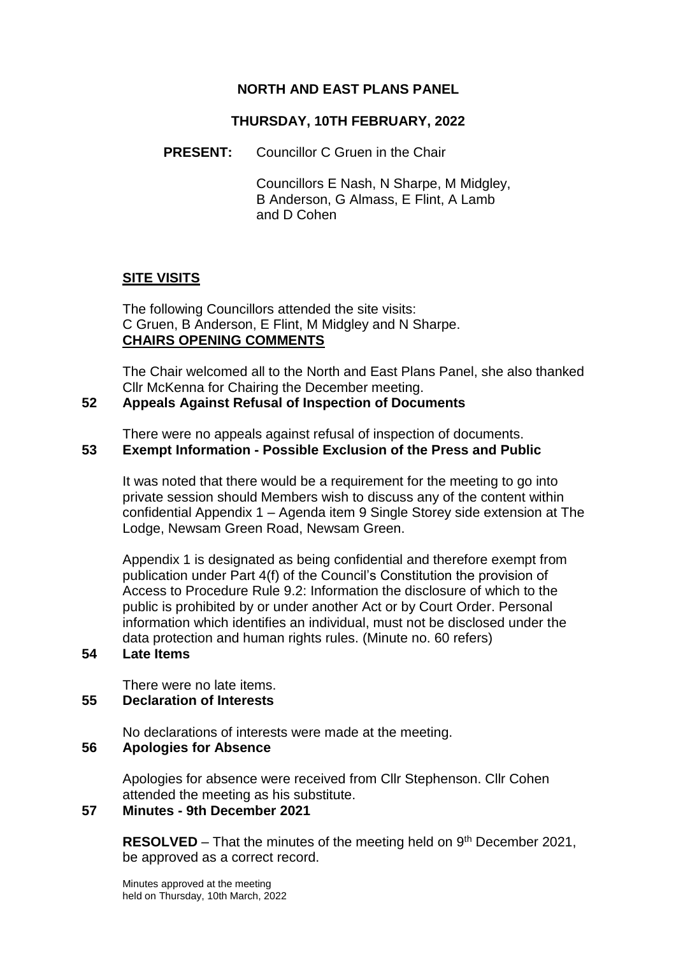## **NORTH AND EAST PLANS PANEL**

## **THURSDAY, 10TH FEBRUARY, 2022**

**PRESENT:** Councillor C Gruen in the Chair

Councillors E Nash, N Sharpe, M Midgley, B Anderson, G Almass, E Flint, A Lamb and D Cohen

## **SITE VISITS**

The following Councillors attended the site visits: C Gruen, B Anderson, E Flint, M Midgley and N Sharpe. **CHAIRS OPENING COMMENTS**

The Chair welcomed all to the North and East Plans Panel, she also thanked Cllr McKenna for Chairing the December meeting.

#### **52 Appeals Against Refusal of Inspection of Documents**

There were no appeals against refusal of inspection of documents.

## **53 Exempt Information - Possible Exclusion of the Press and Public**

It was noted that there would be a requirement for the meeting to go into private session should Members wish to discuss any of the content within confidential Appendix 1 – Agenda item 9 Single Storey side extension at The Lodge, Newsam Green Road, Newsam Green.

Appendix 1 is designated as being confidential and therefore exempt from publication under Part 4(f) of the Council's Constitution the provision of Access to Procedure Rule 9.2: Information the disclosure of which to the public is prohibited by or under another Act or by Court Order. Personal information which identifies an individual, must not be disclosed under the data protection and human rights rules. (Minute no. 60 refers)

#### **54 Late Items**

There were no late items.

## **55 Declaration of Interests**

No declarations of interests were made at the meeting.

#### **56 Apologies for Absence**

Apologies for absence were received from Cllr Stephenson. Cllr Cohen attended the meeting as his substitute.

## **57 Minutes - 9th December 2021**

**RESOLVED** – That the minutes of the meeting held on 9<sup>th</sup> December 2021, be approved as a correct record.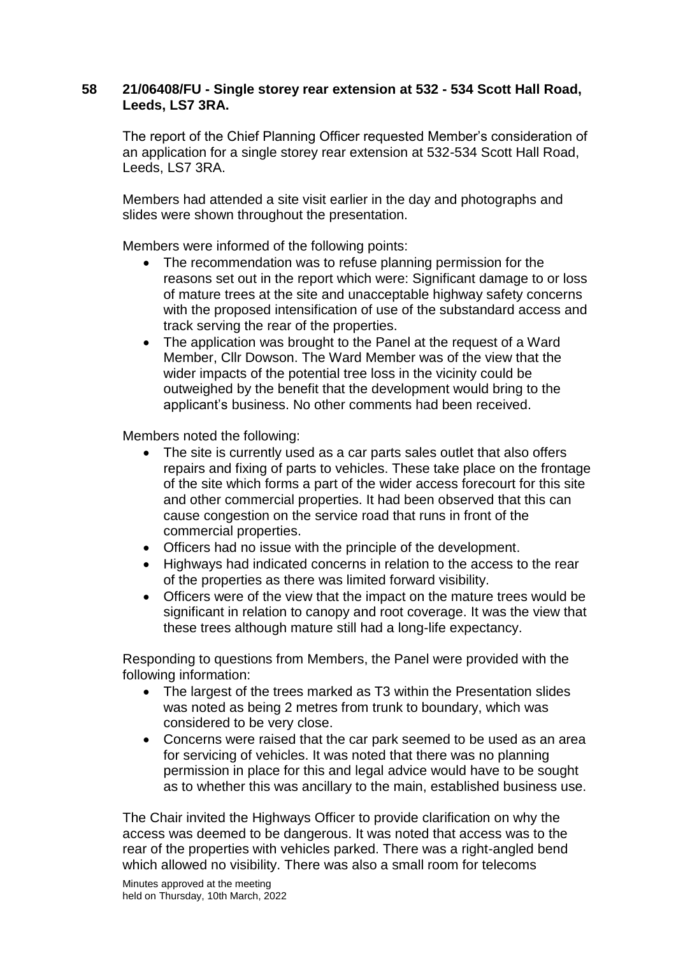## **58 21/06408/FU - Single storey rear extension at 532 - 534 Scott Hall Road, Leeds, LS7 3RA.**

The report of the Chief Planning Officer requested Member's consideration of an application for a single storey rear extension at 532-534 Scott Hall Road, Leeds, LS7 3RA.

Members had attended a site visit earlier in the day and photographs and slides were shown throughout the presentation.

Members were informed of the following points:

- The recommendation was to refuse planning permission for the reasons set out in the report which were: Significant damage to or loss of mature trees at the site and unacceptable highway safety concerns with the proposed intensification of use of the substandard access and track serving the rear of the properties.
- The application was brought to the Panel at the request of a Ward Member, Cllr Dowson. The Ward Member was of the view that the wider impacts of the potential tree loss in the vicinity could be outweighed by the benefit that the development would bring to the applicant's business. No other comments had been received.

Members noted the following:

- The site is currently used as a car parts sales outlet that also offers repairs and fixing of parts to vehicles. These take place on the frontage of the site which forms a part of the wider access forecourt for this site and other commercial properties. It had been observed that this can cause congestion on the service road that runs in front of the commercial properties.
- Officers had no issue with the principle of the development.
- Highways had indicated concerns in relation to the access to the rear of the properties as there was limited forward visibility.
- Officers were of the view that the impact on the mature trees would be significant in relation to canopy and root coverage. It was the view that these trees although mature still had a long-life expectancy.

Responding to questions from Members, the Panel were provided with the following information:

- The largest of the trees marked as T3 within the Presentation slides was noted as being 2 metres from trunk to boundary, which was considered to be very close.
- Concerns were raised that the car park seemed to be used as an area for servicing of vehicles. It was noted that there was no planning permission in place for this and legal advice would have to be sought as to whether this was ancillary to the main, established business use.

The Chair invited the Highways Officer to provide clarification on why the access was deemed to be dangerous. It was noted that access was to the rear of the properties with vehicles parked. There was a right-angled bend which allowed no visibility. There was also a small room for telecoms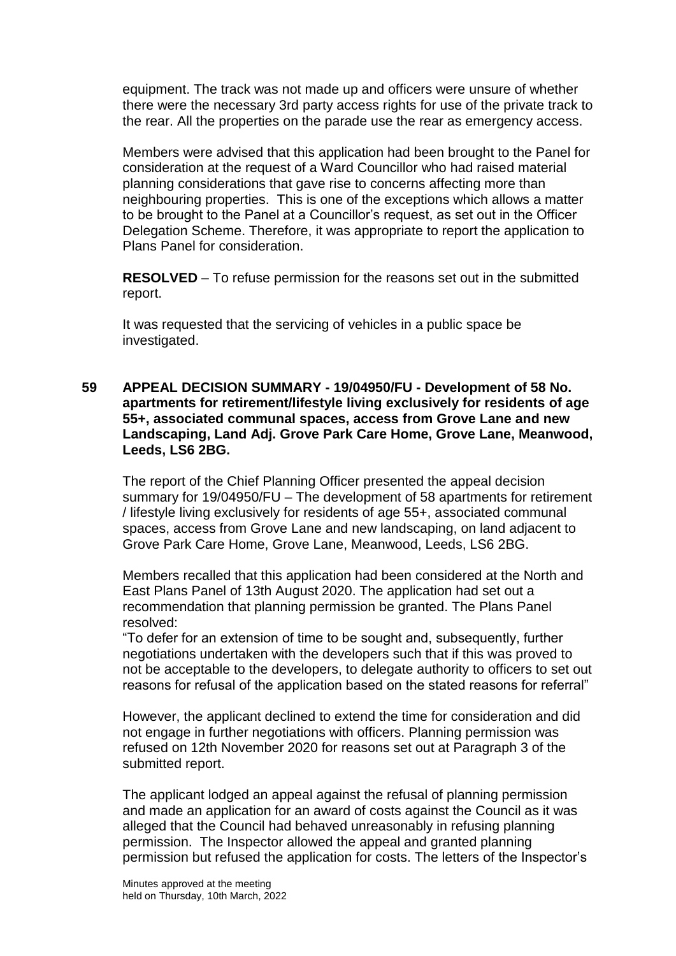equipment. The track was not made up and officers were unsure of whether there were the necessary 3rd party access rights for use of the private track to the rear. All the properties on the parade use the rear as emergency access.

Members were advised that this application had been brought to the Panel for consideration at the request of a Ward Councillor who had raised material planning considerations that gave rise to concerns affecting more than neighbouring properties. This is one of the exceptions which allows a matter to be brought to the Panel at a Councillor's request, as set out in the Officer Delegation Scheme. Therefore, it was appropriate to report the application to Plans Panel for consideration.

**RESOLVED** – To refuse permission for the reasons set out in the submitted report.

It was requested that the servicing of vehicles in a public space be investigated.

**59 APPEAL DECISION SUMMARY - 19/04950/FU - Development of 58 No. apartments for retirement/lifestyle living exclusively for residents of age 55+, associated communal spaces, access from Grove Lane and new Landscaping, Land Adj. Grove Park Care Home, Grove Lane, Meanwood, Leeds, LS6 2BG.**

The report of the Chief Planning Officer presented the appeal decision summary for 19/04950/FU – The development of 58 apartments for retirement / lifestyle living exclusively for residents of age 55+, associated communal spaces, access from Grove Lane and new landscaping, on land adjacent to Grove Park Care Home, Grove Lane, Meanwood, Leeds, LS6 2BG.

Members recalled that this application had been considered at the North and East Plans Panel of 13th August 2020. The application had set out a recommendation that planning permission be granted. The Plans Panel resolved:

"To defer for an extension of time to be sought and, subsequently, further negotiations undertaken with the developers such that if this was proved to not be acceptable to the developers, to delegate authority to officers to set out reasons for refusal of the application based on the stated reasons for referral"

However, the applicant declined to extend the time for consideration and did not engage in further negotiations with officers. Planning permission was refused on 12th November 2020 for reasons set out at Paragraph 3 of the submitted report.

The applicant lodged an appeal against the refusal of planning permission and made an application for an award of costs against the Council as it was alleged that the Council had behaved unreasonably in refusing planning permission. The Inspector allowed the appeal and granted planning permission but refused the application for costs. The letters of the Inspector's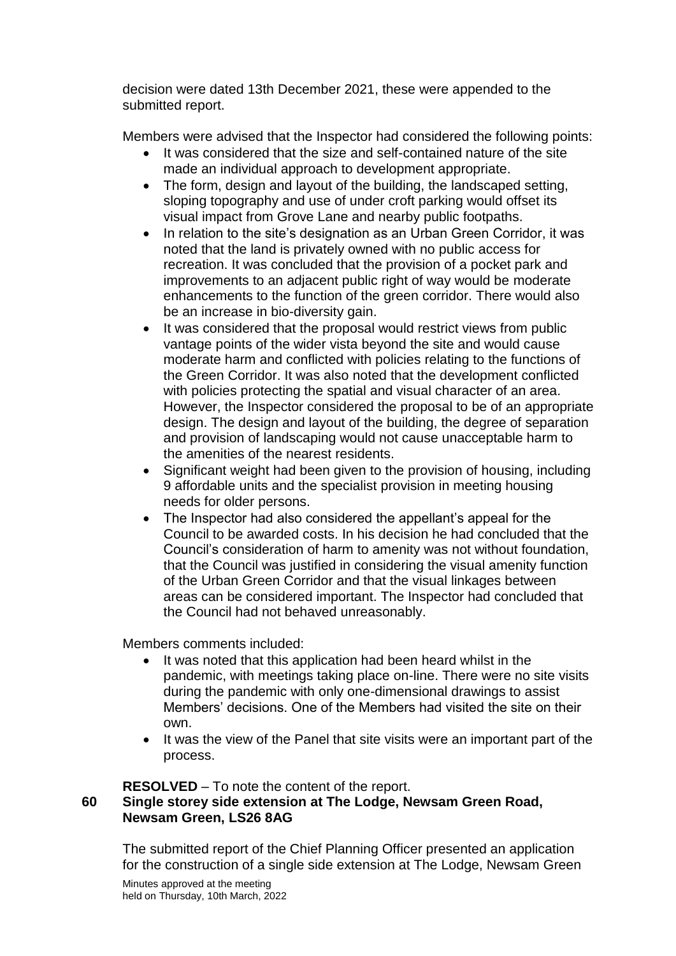decision were dated 13th December 2021, these were appended to the submitted report.

Members were advised that the Inspector had considered the following points:

- It was considered that the size and self-contained nature of the site made an individual approach to development appropriate.
- The form, design and layout of the building, the landscaped setting, sloping topography and use of under croft parking would offset its visual impact from Grove Lane and nearby public footpaths.
- In relation to the site's designation as an Urban Green Corridor, it was noted that the land is privately owned with no public access for recreation. It was concluded that the provision of a pocket park and improvements to an adjacent public right of way would be moderate enhancements to the function of the green corridor. There would also be an increase in bio-diversity gain.
- It was considered that the proposal would restrict views from public vantage points of the wider vista beyond the site and would cause moderate harm and conflicted with policies relating to the functions of the Green Corridor. It was also noted that the development conflicted with policies protecting the spatial and visual character of an area. However, the Inspector considered the proposal to be of an appropriate design. The design and layout of the building, the degree of separation and provision of landscaping would not cause unacceptable harm to the amenities of the nearest residents.
- Significant weight had been given to the provision of housing, including 9 affordable units and the specialist provision in meeting housing needs for older persons.
- The Inspector had also considered the appellant's appeal for the Council to be awarded costs. In his decision he had concluded that the Council's consideration of harm to amenity was not without foundation, that the Council was justified in considering the visual amenity function of the Urban Green Corridor and that the visual linkages between areas can be considered important. The Inspector had concluded that the Council had not behaved unreasonably.

Members comments included:

- It was noted that this application had been heard whilst in the pandemic, with meetings taking place on-line. There were no site visits during the pandemic with only one-dimensional drawings to assist Members' decisions. One of the Members had visited the site on their own.
- It was the view of the Panel that site visits were an important part of the process.

# **RESOLVED** – To note the content of the report.

## **60 Single storey side extension at The Lodge, Newsam Green Road, Newsam Green, LS26 8AG**

The submitted report of the Chief Planning Officer presented an application for the construction of a single side extension at The Lodge, Newsam Green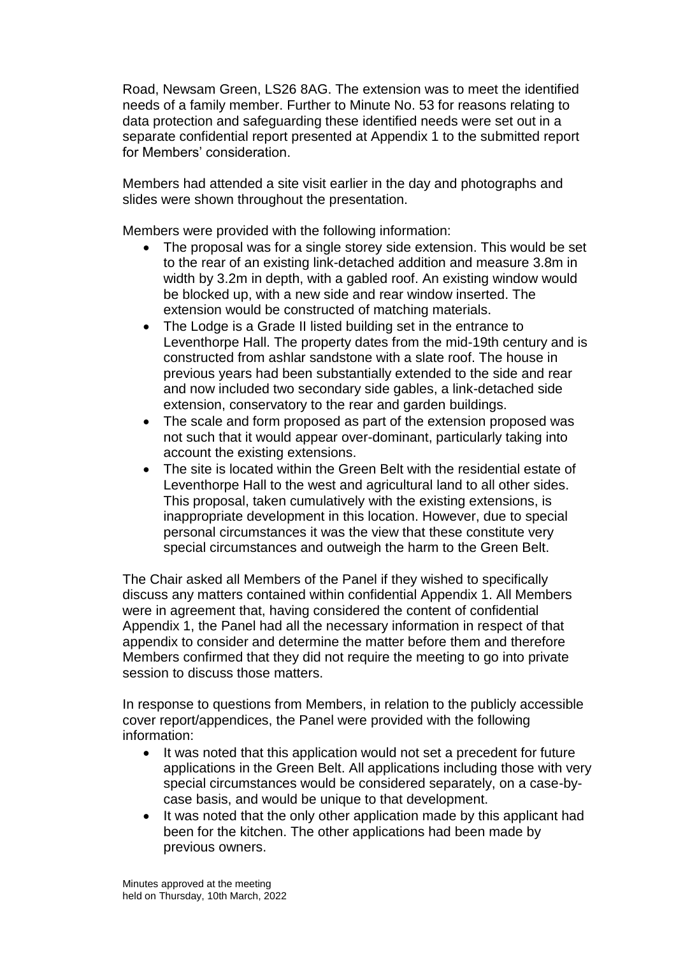Road, Newsam Green, LS26 8AG. The extension was to meet the identified needs of a family member. Further to Minute No. 53 for reasons relating to data protection and safeguarding these identified needs were set out in a separate confidential report presented at Appendix 1 to the submitted report for Members' consideration.

Members had attended a site visit earlier in the day and photographs and slides were shown throughout the presentation.

Members were provided with the following information:

- The proposal was for a single storey side extension. This would be set to the rear of an existing link-detached addition and measure 3.8m in width by 3.2m in depth, with a gabled roof. An existing window would be blocked up, with a new side and rear window inserted. The extension would be constructed of matching materials.
- The Lodge is a Grade II listed building set in the entrance to Leventhorpe Hall. The property dates from the mid-19th century and is constructed from ashlar sandstone with a slate roof. The house in previous years had been substantially extended to the side and rear and now included two secondary side gables, a link-detached side extension, conservatory to the rear and garden buildings.
- The scale and form proposed as part of the extension proposed was not such that it would appear over-dominant, particularly taking into account the existing extensions.
- The site is located within the Green Belt with the residential estate of Leventhorpe Hall to the west and agricultural land to all other sides. This proposal, taken cumulatively with the existing extensions, is inappropriate development in this location. However, due to special personal circumstances it was the view that these constitute very special circumstances and outweigh the harm to the Green Belt.

The Chair asked all Members of the Panel if they wished to specifically discuss any matters contained within confidential Appendix 1. All Members were in agreement that, having considered the content of confidential Appendix 1, the Panel had all the necessary information in respect of that appendix to consider and determine the matter before them and therefore Members confirmed that they did not require the meeting to go into private session to discuss those matters.

In response to questions from Members, in relation to the publicly accessible cover report/appendices, the Panel were provided with the following information:

- It was noted that this application would not set a precedent for future applications in the Green Belt. All applications including those with very special circumstances would be considered separately, on a case-bycase basis, and would be unique to that development.
- It was noted that the only other application made by this applicant had been for the kitchen. The other applications had been made by previous owners.